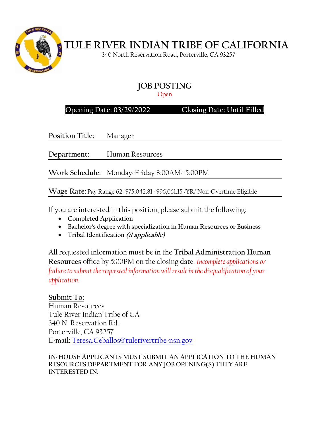

 **TULE RIVER INDIAN TRIBE OF CALIFORNIA**

340 North Reservation Road, Porterville, CA 93257

# **JOB POSTING**

Open

## **Opening Date: 03/29/2022 Closing Date: Until Filled**

**Position Title:** Manager

**Department:** Human Resources

**Work Schedule:** Monday-Friday 8:00AM- 5:00PM

**Wage Rate:** Pay Range 62: \$75,042.81- \$96,061.15 /YR/ Non-Overtime Eligible

If you are interested in this position, please submit the following:

- **Completed Application**
- **Bachelor's degree with specialization in Human Resources or Business**
- **Tribal Identification (if applicable)**

All requested information must be in the **Tribal Administration Human Resources** office by 5:00PM on the closing date. *Incomplete applications or failure to submit the requested information will result in the disqualification of your application.*

**Submit To:** Human Resources Tule River Indian Tribe of CA 340 N. Reservation Rd. Porterville, CA 93257 E-mail: [Teresa.Ceballos@tulerivertribe-nsn.gov](mailto:Teresa.Ceballos@tulerivertribe-nsn.gov)

**IN-HOUSE APPLICANTS MUST SUBMIT AN APPLICATION TO THE HUMAN RESOURCES DEPARTMENT FOR ANY JOB OPENING(S) THEY ARE INTERESTED IN.**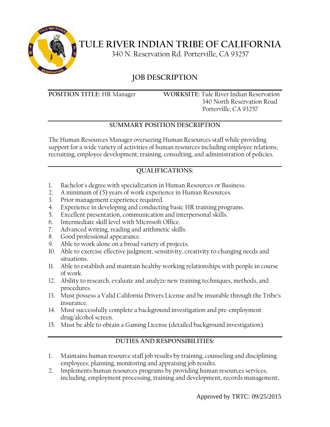

**TULE RIVER INDIAN TRIBE OF CALIFORNIA**

340 N. Reservation Rd. Porterville, CA 93257

## **JOB DESCRIPTION**

**POSITION TITLE:** HR Manager **WORKSITE:** Tule River Indian Reservation 340 North Reservation Road Porterville, CA 93257

### **SUMMARY POSITION DESCRIPTION**

The Human Resources Manager overseeing Human Resources staff while providing support for a wide variety of activities of human resources including employee relations, recruiting, employee development, training, consulting, and administration of policies.

## **QUALIFICATIONS:**

- 1. Bachelor's degree with specialization in Human Resources or Business.
- 2. A minimum of (5) years of work experience in Human Resources.
- 3. Prior management experience required.
- 4. Experience in developing and conducting basic HR training programs.
- 5. Excellent presentation, communication and interpersonal skills.
- 6. Intermediate skill level with Microsoft Office.
- 7. Advanced writing, reading and arithmetic skills.
- 8. Good professional appearance.
- 9. Able to work alone on a broad variety of projects.
- 10. Able to exercise effective judgment, sensitivity, creativity to changing needs and situations.
- 11. Able to establish and maintain healthy working relationships with people in course of work.
- 12. Ability to research, evaluate and analyze new training techniques, methods, and procedures.
- 13. Must possess a Valid California Drivers License and be insurable through the Tribe's insurance.
- 14. Must successfully complete a background investigation and pre-employment drug/alcohol screen.
- 15. Must be able to obtain a Gaming License (detailed background investigation)

#### **DUTIES AND RESPONSIBILITIES:**

- 1. Maintains human resource staff job results by training, counseling and disciplining employees; planning, monitoring and appraising job results.
- 2. Implements human resources programs by providing human resources services, including, employment processing, training and development, records management,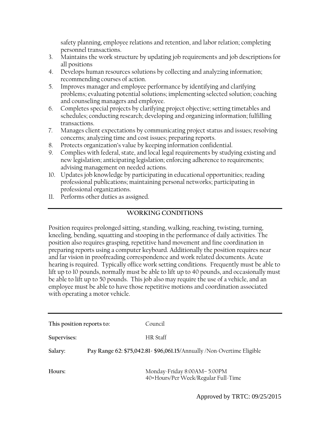safety planning, employee relations and retention, and labor relation; completing personnel transactions.

- 3. Maintains the work structure by updating job requirements and job descriptions for all positions
- 4. Develops human resources solutions by collecting and analyzing information; recommending courses of action.
- 5. Improves manager and employee performance by identifying and clarifying problems; evaluating potential solutions; implementing selected solution; coaching and counseling managers and employee.
- 6. Completes special projects by clarifying project objective; setting timetables and schedules; conducting research; developing and organizing information; fulfilling transactions.
- 7. Manages client expectations by communicating project status and issues; resolving concerns; analyzing time and cost issues; preparing reports.
- 8. Protects organization's value by keeping information confidential.
- 9. Complies with federal, state, and local legal requirements by studying existing and new legislation; anticipating legislation; enforcing adherence to requirements; advising management on needed actions.
- 10. Updates job knowledge by participating in educational opportunities; reading professional publications; maintaining personal networks; participating in professional organizations.
- 11. Performs other duties as assigned.

#### **WORKING CONDITIONS**

Position requires prolonged sitting, standing, walking, reaching, twisting, turning, kneeling, bending, squatting and stooping in the performance of daily activities. The position also requires grasping, repetitive hand movement and fine coordination in preparing reports using a computer keyboard. Additionally the position requires near and far vision in proofreading correspondence and work related documents. Acute hearing is required. Typically office work setting conditions. Frequently must be able to lift up to 10 pounds, normally must be able to lift up to 40 pounds, and occasionally must be able to lift up to 50 pounds. This job also may require the use of a vehicle, and an employee must be able to have those repetitive motions and coordination associated with operating a motor vehicle.

| This position reports to: | Council                                                                |
|---------------------------|------------------------------------------------------------------------|
| Supervises:               | HR Staff                                                               |
| Salary:                   | Pay Range 62: \$75,042.81- \$96,061.15/Annually /Non-Overtime Eligible |
| Hours:                    | Monday-Friday 8:00AM-5:00PM<br>40+Hours/Per Week/Regular Full-Time     |